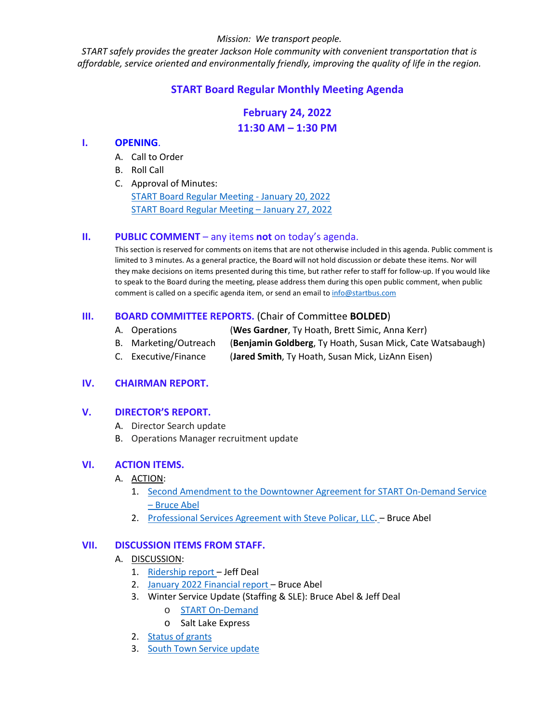#### *Mission: We transport people.*

*START safely provides the greater Jackson Hole community with convenient transportation that is affordable, service oriented and environmentally friendly, improving the quality of life in the region.*

# **START Board Regular Monthly Meeting Agenda**

# **February 24, 2022 11:30 AM – 1:30 PM**

#### **I. OPENING**.

- A. Call to Order
- B. Roll Call
- C. Approval of Minutes:

[START Board Regular Meeting -](https://www.jacksonwy.gov/DocumentCenter/View/5680/20220120STARTBdMinutes_FINAL) [January 20, 2022](https://www.jacksonwy.gov/DocumentCenter/View/5680/20220120STARTBdMinutes_FINAL) [START Board Regular Meeting –](https://www.jacksonwy.gov/DocumentCenter/View/5681/20220127STARTBdMinutes_FINAL) [January 27, 2022](https://www.jacksonwy.gov/DocumentCenter/View/5681/20220127STARTBdMinutes_FINAL)

#### **II. PUBLIC COMMENT** – any items **not** on today's agenda.

This section is reserved for comments on items that are not otherwise included in this agenda. Public comment is limited to 3 minutes. As a general practice, the Board will not hold discussion or debate these items. Nor will they make decisions on items presented during this time, but rather refer to staff for follow-up. If you would like to speak to the Board during the meeting, please address them during this open public comment, when public comment is called on a specific agenda item, or send an email to [info@startbus.com](mailto:info@startbus.com)

#### **III. BOARD COMMITTEE REPORTS.** (Chair of Committee **BOLDED**)

- A. Operations (**Wes Gardner**, Ty Hoath, Brett Simic, Anna Kerr)
- B. Marketing/Outreach (**Benjamin Goldberg**, Ty Hoath, Susan Mick, Cate Watsabaugh)
- C. Executive/Finance (**Jared Smith**, Ty Hoath, Susan Mick, LizAnn Eisen)

### **IV. CHAIRMAN REPORT.**

#### **V. DIRECTOR'S REPORT.**

- A. Director Search update
- B. Operations Manager recruitment update

#### **VI. ACTION ITEMS.**

- A. ACTION:
	- 1. [Second Amendment to the Downtowner Agreement for START On-Demand Service](https://www.jacksonwy.gov/DocumentCenter/View/5673/220221SecondAmendDowntownerSTARTAgmt)  – [Bruce Abel](https://www.jacksonwy.gov/DocumentCenter/View/5673/220221SecondAmendDowntownerSTARTAgmt)
	- 2. [Professional Services Agreement with Steve Policar, LLC.](https://www.jacksonwy.gov/DocumentCenter/View/5674/20220224StevePolicar) Bruce Abel

#### **VII. DISCUSSION ITEMS FROM STAFF.**

#### A. DISCUSSION:

- 1. [Ridership report](https://www.jacksonwy.gov/DocumentCenter/View/5614/Ridership_asof01312022) Jeff Deal
- 2. [January 2022 Financial report](https://www.jacksonwy.gov/DocumentCenter/View/5648/START-financials-FY2022---thru-20220131) Bruce Abel
- 3. Winter Service Update (Staffing & SLE): Bruce Abel & Jeff Deal
	- o [START On-Demand](https://www.jacksonwy.gov/DocumentCenter/View/5606/START-On-Demand-Reporting-January-2022)
	- o Salt Lake Express
- 2. [Status of grants](https://www.jacksonwy.gov/DocumentCenter/View/5670/grant-inventory-and-funding-needs--ba)
- 3. South Town [Service update](https://www.jacksonwy.gov/DocumentCenter/View/5671/South-Town-Resdiential)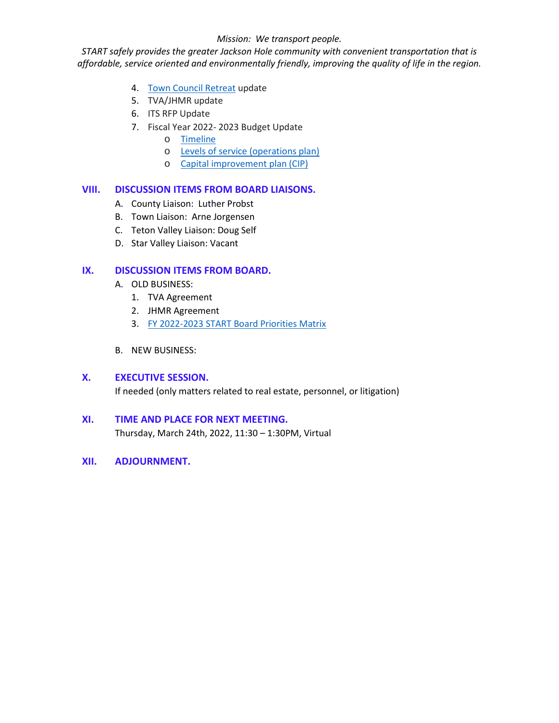#### *Mission: We transport people.*

*START safely provides the greater Jackson Hole community with convenient transportation that is affordable, service oriented and environmentally friendly, improving the quality of life in the region.*

- 4. [Town Council Retreat](https://www.jacksonwy.gov/DocumentCenter/View/5615/ToJ-Retreat) update
- 5. TVA/JHMR update
- 6. ITS RFP Update
- 7. Fiscal Year 2022- 2023 Budget Update
	- o [Timeline](https://www.jacksonwy.gov/DocumentCenter/View/5669/FYBudgetCalendarTimeline)
	- o [Levels of service \(operations plan\)](https://www.jacksonwy.gov/DocumentCenter/View/5650/OperationsPlan)
	- o [Capital improvement plan \(CIP\)](https://www.jacksonwy.gov/DocumentCenter/View/5651/CIP_Fleet)

#### **VIII. DISCUSSION ITEMS FROM BOARD LIAISONS.**

- A. County Liaison: Luther Probst
- B. Town Liaison: Arne Jorgensen
- C. Teton Valley Liaison: Doug Self
- D. Star Valley Liaison: Vacant

#### **IX. DISCUSSION ITEMS FROM BOARD.**

- A. OLD BUSINESS:
	- 1. TVA Agreement
	- 2. JHMR Agreement
	- 3. [FY 2022-2023 START Board Priorities Matrix](https://www.jacksonwy.gov/DocumentCenter/View/5668/START-Board-FY-2022-2023-Priorities-Matrix)
- B. NEW BUSINESS:

#### **X. EXECUTIVE SESSION.**

If needed (only matters related to real estate, personnel, or litigation)

## **XI. TIME AND PLACE FOR NEXT MEETING.**

Thursday, March 24th, 2022, 11:30 – 1:30PM, Virtual

**XII. ADJOURNMENT.**